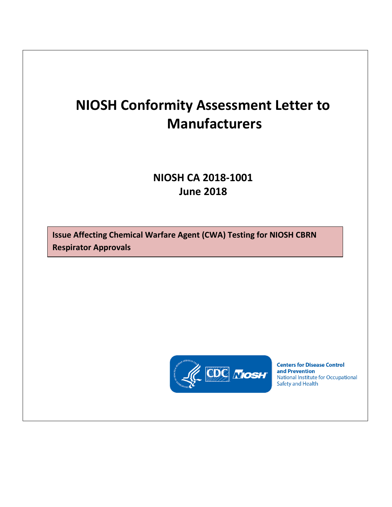## **NIOSH Conformity Assessment Letter to Manufacturers**

## **NIOSH CA 2018-1001 June 2018**

**Issue Affecting Chemical Warfare Agent (CWA) Testing for NIOSH CBRN Respirator Approvals** 



**Centers for Disease Control** and Prevention National Institute for Occupational **Safety and Health**